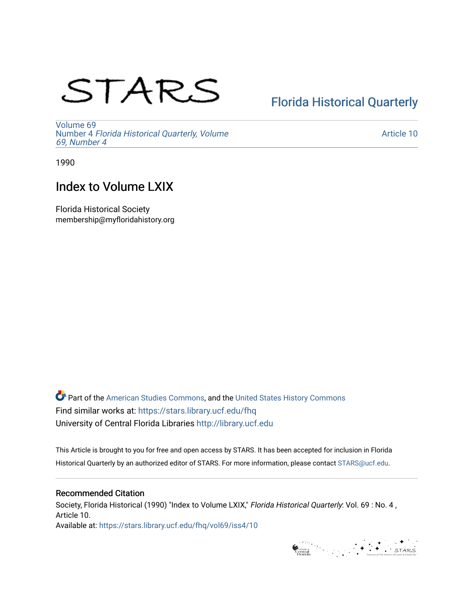# STARS

# [Florida Historical Quarterly](https://stars.library.ucf.edu/fhq)

[Volume 69](https://stars.library.ucf.edu/fhq/vol69) Number 4 [Florida Historical Quarterly, Volume](https://stars.library.ucf.edu/fhq/vol69/iss4)  [69, Number 4](https://stars.library.ucf.edu/fhq/vol69/iss4)

[Article 10](https://stars.library.ucf.edu/fhq/vol69/iss4/10) 

1990

## Index to Volume LXIX

Florida Historical Society membership@myfloridahistory.org

**C** Part of the [American Studies Commons](http://network.bepress.com/hgg/discipline/439?utm_source=stars.library.ucf.edu%2Ffhq%2Fvol69%2Fiss4%2F10&utm_medium=PDF&utm_campaign=PDFCoverPages), and the United States History Commons Find similar works at: <https://stars.library.ucf.edu/fhq> University of Central Florida Libraries [http://library.ucf.edu](http://library.ucf.edu/) 

This Article is brought to you for free and open access by STARS. It has been accepted for inclusion in Florida Historical Quarterly by an authorized editor of STARS. For more information, please contact [STARS@ucf.edu.](mailto:STARS@ucf.edu)

#### Recommended Citation

Society, Florida Historical (1990) "Index to Volume LXIX," Florida Historical Quarterly: Vol. 69 : No. 4, Article 10.

Available at: [https://stars.library.ucf.edu/fhq/vol69/iss4/10](https://stars.library.ucf.edu/fhq/vol69/iss4/10?utm_source=stars.library.ucf.edu%2Ffhq%2Fvol69%2Fiss4%2F10&utm_medium=PDF&utm_campaign=PDFCoverPages)

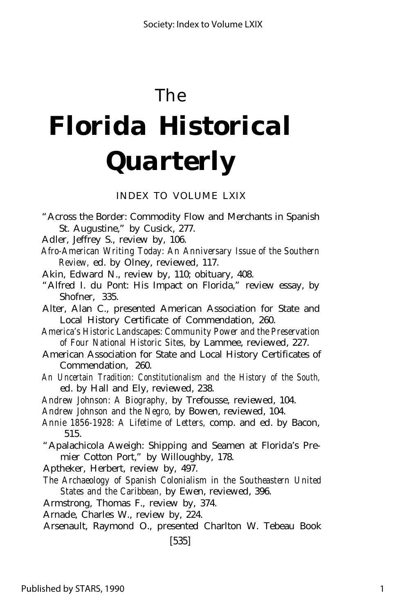### The

# *Florida Historical Quarterly*

#### INDEX TO VOLUME LXIX

- "Across the Border: Commodity Flow and Merchants in Spanish St. Augustine," by Cusick, 277.
- Adler, Jeffrey S., review by, 106.
- *Afro-American Writing Today: An Anniversary Issue of the Southern Review,* ed. by Olney, reviewed, 117.
- Akin, Edward N., review by, 110; obituary, 408.
- "Alfred I. du Pont: His Impact on Florida," review essay, by Shofner, 335.
- Alter, Alan C., presented American Association for State and Local History Certificate of Commendation, 260.
- *America's Historic Landscapes: Community Power and the Preservation of Four National Historic Sites,* by Lammee, reviewed, 227.
- American Association for State and Local History Certificates of Commendation, 260.
- *An Uncertain Tradition: Constitutionalism and the History of the South,* ed. by Hall and Ely, reviewed, 238.
- *Andrew Johnson: A Biography,* by Trefousse, reviewed, 104.
- *Andrew Johnson and the Negro,* by Bowen, reviewed, 104.
- *Annie 1856-1928: A Lifetime of Letters,* comp. and ed. by Bacon, 515.

"Apalachicola Aweigh: Shipping and Seamen at Florida's Premier Cotton Port," by Willoughby, 178.

Aptheker, Herbert, review by, 497.

- *The Archaeology of Spanish Colonialism in the Southeastern United States and the Caribbean,* by Ewen, reviewed, 396.
- Armstrong, Thomas F., review by, 374.
- Arnade, Charles W., review by, 224.
- Arsenault, Raymond O., presented Charlton W. Tebeau Book

[535]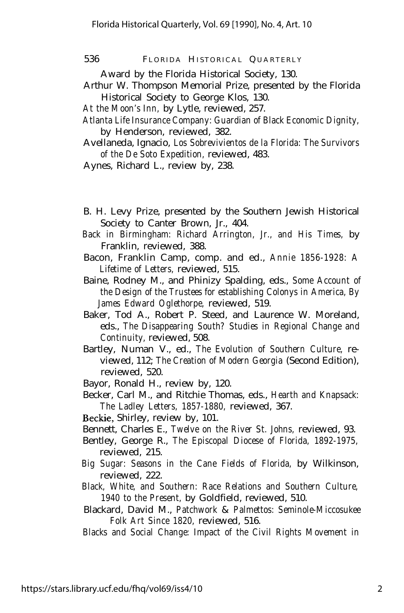Award by the Florida Historical Society, 130.

- Arthur W. Thompson Memorial Prize, presented by the Florida Historical Society to George Klos, 130.
- *At the Moon's Inn,* by Lytle, reviewed, 257.
- *Atlanta Life Insurance Company: Guardian of Black Economic Dignity,* by Henderson, reviewed, 382.
- Avellaneda, Ignacio, *Los Sobrevivientos de la Florida: The Survivors of the De Soto Expedition,* reviewed, 483.

Aynes, Richard L., review by, 238.

- B. H. Levy Prize, presented by the Southern Jewish Historical Society to Canter Brown, Jr., 404.
- *Back in Birmingham: Richard Arrington, Jr., and His Times,* by Franklin, reviewed, 388.
- Bacon, Franklin Camp, comp. and ed., *Annie 1856-1928: A Lifetime of Letters,* reviewed, 515.
- Baine, Rodney M., and Phinizy Spalding, eds., *Some Account of the Design of the Trustees for establishing Colonys in America, By James Edward Oglethorpe,* reviewed, 519.
- Baker, Tod A., Robert P. Steed, and Laurence W. Moreland, eds., *The Disappearing South? Studies in Regional Change and Continuity,* reviewed, 508.
- Bartley, Numan V., ed., *The Evolution of Southern Culture,* reviewed, 112; *The Creation of Modern Georgia* (Second Edition), reviewed, 520.
- Bayor, Ronald H., review by, 120.
- Becker, Carl M., and Ritchie Thomas, eds., *Hearth and Knapsack: The Ladley Letters, 1857-1880,* reviewed, 367.
- Beckie, Shirley, review by, 101.
- Bennett, Charles E., *Twelve on the River St. Johns,* reviewed, 93.
- Bentley, George R., *The Episcopal Diocese of Florida, 1892-1975,* reviewed, 215.
- *Big Sugar: Seasons in the Cane Fields of Florida,* by Wilkinson, reviewed, 222.
- *Black, White, and Southern: Race Relations and Southern Culture, 1940 to the Present,* by Goldfield, reviewed, 510.
- Blackard, David M., *Patchwork* & *Palmettos: Seminole-Miccosukee Folk Art Since 1820,* reviewed, 516.
- *Blacks and Social Change: Impact of the Civil Rights Movement in*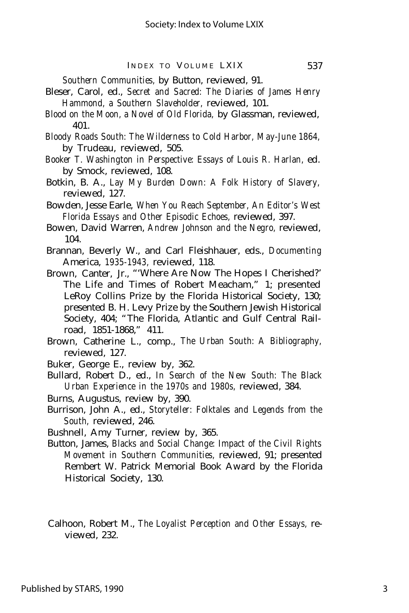*Southern Communities,* by Button, reviewed, 91.

- Bleser, Carol, ed., *Secret and Sacred: The Diaries of James Henry Hammond, a Southern Slaveholder,* reviewed, 101.
- *Blood on the Moon, a Novel of Old Florida,* by Glassman, reviewed, 401.
- *Bloody Roads South: The Wilderness to Cold Harbor, May-June 1864,* by Trudeau, reviewed, 505.
- *Booker T. Washington in Perspective: Essays of Louis R. Harlan,* ed. by Smock, reviewed, 108.
- Botkin, B. A., *Lay My Burden Down: A Folk History of Slavery,* reviewed, 127.
- Bowden, Jesse Earle, *When You Reach September, An Editor's West Florida Essays and Other Episodic Echoes,* reviewed, 397.
- Bowen, David Warren, *Andrew Johnson and the Negro,* reviewed, 104.
- Brannan, Beverly W., and Carl Fleishhauer, eds., *Documenting* America, *1935-1943,* reviewed, 118.
- Brown, Canter, Jr., "'Where Are Now The Hopes I Cherished?' The Life and Times of Robert Meacham," 1; presented LeRoy Collins Prize by the Florida Historical Society, 130; presented B. H. Levy Prize by the Southern Jewish Historical Society, 404; "The Florida, Atlantic and Gulf Central Railroad, 1851-1868," 411.
- Brown, Catherine L., comp., *The Urban South: A Bibliography,* reviewed, 127.
- Buker, George E., review by, 362.
- Bullard, Robert D., ed., *In Search of the New South: The Black Urban Experience in the 1970s and 1980s,* reviewed, 384.
- Burns, Augustus, review by, 390.
- Burrison, John A., ed., *Storyteller: Folktales and Legends from the South,* reviewed, 246.
- Bushnell, Amy Turner, review by, 365.
- Button, James, *Blacks and Social Change: Impact of the Civil Rights Movement in Southern Communities,* reviewed, 91; presented Rembert W. Patrick Memorial Book Award by the Florida Historical Society, 130.
- Calhoon, Robert M., *The Loyalist Perception and Other Essays,* reviewed, 232.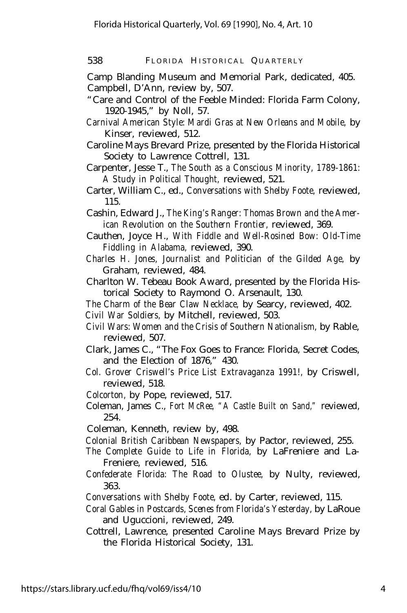Camp Blanding Museum and Memorial Park, dedicated, 405. Campbell, D'Ann, review by, 507.

- "Care and Control of the Feeble Minded: Florida Farm Colony, 1920-1945," by Noll, 57.
- *Carnival American Style: Mardi Gras at New Orleans and Mobile,* by Kinser, reviewed, 512.
- Caroline Mays Brevard Prize, presented by the Florida Historical Society to Lawrence Cottrell, 131.
- Carpenter, Jesse T., *The South as a Conscious Minority, 1789-1861: A Study in Political Thought,* reviewed, 521.
- Carter, William C., ed., *Conversations with Shelby Foote,* reviewed, 115.
- Cashin, Edward J., *The King's Ranger: Thomas Brown and the American Revolution on the Southern Frontier,* reviewed, 369.
- Cauthen, Joyce H., *With Fiddle and Well-Rosined Bow: Old-Time Fiddling in Alabama,* reviewed, 390.
- *Charles H. Jones, Journalist and Politician of the Gilded Age,* by Graham, reviewed, 484.
- Charlton W. Tebeau Book Award, presented by the Florida Historical Society to Raymond O. Arsenault, 130.
- *The Charm of the Bear Claw Necklace,* by Searcy, reviewed, 402.
- *Civil War Soldiers,* by Mitchell, reviewed, 503.
- *Civil Wars: Women and the Crisis of Southern Nationalism,* by Rable, reviewed, 507.
- Clark, James C., "The Fox Goes to France: Florida, Secret Codes, and the Election of 1876," 430.
- *Col. Grover Criswell's Price List Extravaganza 1991!,* by Criswell, reviewed, 518.
- *Colcorton,* by Pope, reviewed, 517.
- Coleman, James C., *Fort McRee, "A Castle Built on Sand,"* reviewed, 254.

Coleman, Kenneth, review by, 498.

- *Colonial British Caribbean Newspapers,* by Pactor, reviewed, 255.
- *The Complete Guide to Life in Florida,* by LaFreniere and La-Freniere, reviewed, 516.
- *Confederate Florida: The Road to Olustee,* by Nulty, reviewed, 363.
- *Conversations with Shelby Foote,* ed. by Carter, reviewed, 115.
- *Coral Gables in Postcards, Scenes from Florida's Yesterday,* by LaRoue and Uguccioni, reviewed, 249.
- Cottrell, Lawrence, presented Caroline Mays Brevard Prize by the Florida Historical Society, 131.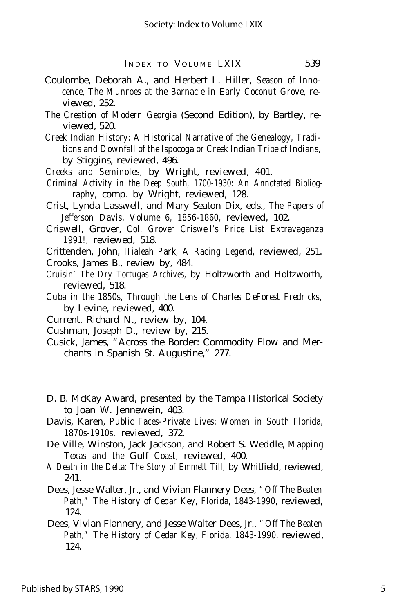- Coulombe, Deborah A., and Herbert L. Hiller, *Season of Innocence, The Munroes at the Barnacle in Early Coconut Grove,* reviewed, 252.
- *The Creation of Modern Georgia* (Second Edition), by Bartley, reviewed, 520.
- *Creek Indian History: A Historical Narrative of the Genealogy, Traditions and Downfall of the Ispocoga or Creek Indian Tribe of Indians,* by Stiggins, reviewed, 496.
- *Creeks and Seminoles,* by Wright, reviewed, 401.
- *Criminal Activity in the Deep South, 1700-1930: An Annotated Bibliography,* comp. by Wright, reviewed, 128.
- Crist, Lynda Lasswell, and Mary Seaton Dix, eds., *The Papers of Jefferson Davis, Volume 6, 1856-1860,* reviewed, 102.
- Criswell, Grover, *Col. Grover Criswell's Price List Extravaganza 1991!,* reviewed, 518.
- Crittenden, John, *Hialeah Park, A Racing Legend,* reviewed, 251.
- Crooks, James B., review by, 484.
- *Cruisin' The Dry Tortugas Archives,* by Holtzworth and Holtzworth, reviewed, 518.
- *Cuba in the 1850s, Through the Lens of Charles DeForest Fredricks,* by Levine, reviewed, 400.
- Current, Richard N., review by, 104.
- Cushman, Joseph D., review by, 215.
- Cusick, James, "Across the Border: Commodity Flow and Merchants in Spanish St. Augustine," 277.
- D. B. McKay Award, presented by the Tampa Historical Society to Joan W. Jennewein, 403.
- Davis, Karen, *Public Faces-Private Lives: Women in South Florida, 1870s-1910s,* reviewed, 372.
- De Ville, Winston, Jack Jackson, and Robert S. Weddle, *Mapping Texas and the* Gulf *Coast,* reviewed, 400.
- *A Death in the Delta: The Story of Emmett Till,* by Whitfield, reviewed, 241.
- Dees, Jesse Walter, Jr., and Vivian Flannery Dees, *"Off The Beaten Path," The History of Cedar Key, Florida, 1843-1990,* reviewed, 124.
- Dees, Vivian Flannery, and Jesse Walter Dees, Jr., *"Off The Beaten Path," The History of Cedar Key, Florida, 1843-1990,* reviewed, 124.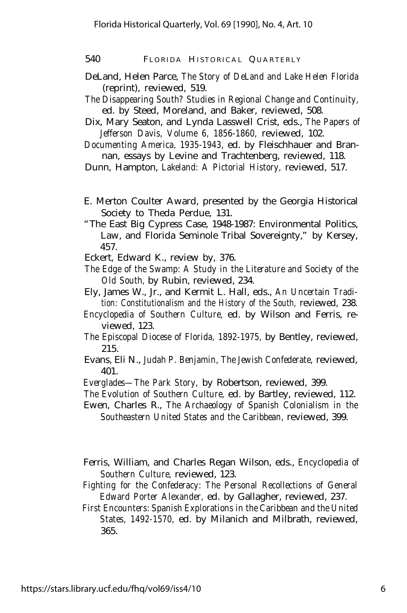- DeLand, Helen Parce, *The Story of DeLand and Lake Helen Florida* (reprint), reviewed, 519.
- *The Disappearing South? Studies in Regional Change and Continuity,* ed. by Steed, Moreland, and Baker, reviewed, 508.
- Dix, Mary Seaton, and Lynda Lasswell Crist, eds., *The Papers of Jefferson Davis, Volume 6, 1856-1860,* reviewed, 102.
- *Documenting America, 1935-1943,* ed. by Fleischhauer and Brannan, essays by Levine and Trachtenberg, reviewed, 118.

Dunn, Hampton, *Lakeland: A Pictorial History,* reviewed, 517.

- E. Merton Coulter Award, presented by the Georgia Historical Society to Theda Perdue, 131.
- "The East Big Cypress Case, 1948-1987: Environmental Politics, Law, and Florida Seminole Tribal Sovereignty," by Kersey, 457.

Eckert, Edward K., review by, 376.

- *The Edge of the Swamp: A Study in the Literature and Society of the Old South,* by Rubin, reviewed, 234.
- Ely, James W., Jr., and Kermit L. Hall, eds., *An Uncertain Tradition: Constitutionalism and the History of the South,* reviewed, 238.
- *Encyclopedia of Southern Culture,* ed. by Wilson and Ferris, reviewed, 123.
- *The Episcopal Diocese of Florida, 1892-1975,* by Bentley, reviewed, 215.
- Evans, Eli N., *Judah P. Benjamin, The Jewish Confederate,* reviewed, 401.
- *Everglades— The Park Story,* by Robertson, reviewed, 399.
- *The Evolution of Southern Culture,* ed. by Bartley, reviewed, 112.

- Ferris, William, and Charles Regan Wilson, eds., *Encyclopedia of Southern Culture,* reviewed, 123.
- *Fighting for the Confederacy: The Personal Recollections of General Edward Porter Alexander,* ed. by Gallagher, reviewed, 237.
- *First Encounters: Spanish Explorations in the Caribbean and the United States, 1492-1570,* ed. by Milanich and Milbrath, reviewed, 365.

Ewen, Charles R., *The Archaeology of Spanish Colonialism in the Southeastern United States and the Caribbean,* reviewed, 399.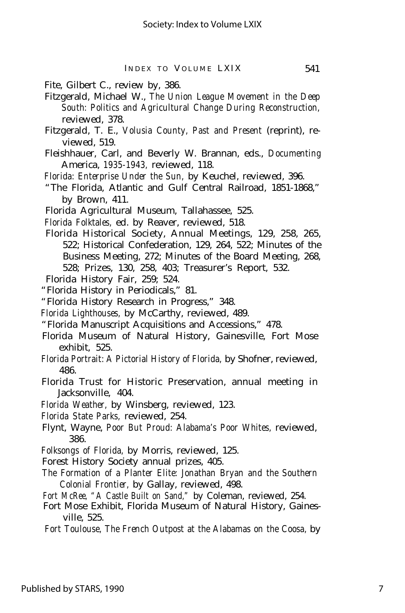Fite, Gilbert C., review by, 386.

- Fitzgerald, Michael W., *The Union League Movement in the Deep South: Politics and Agricultural Change During Reconstruction,* reviewed, 378.
- Fitzgerald, T. E., *Volusia County, Past and Present* (reprint), reviewed, 519.
- Fleishhauer, Carl, and Beverly W. Brannan, eds., *Documenting* America, *1935-1943,* reviewed, 118.
- *Florida: Enterprise Under the Sun,* by Keuchel, reviewed, 396.
- "The Florida, Atlantic and Gulf Central Railroad, 1851-1868," by Brown, 411.
- Florida Agricultural Museum, Tallahassee, 525.
- *Florida Folktales,* ed. by Reaver, reviewed, 518.
- Florida Historical Society, Annual Meetings, 129, 258, 265, 522; Historical Confederation, 129, 264, 522; Minutes of the Business Meeting, 272; Minutes of the Board Meeting, 268, 528; Prizes, 130, 258, 403; Treasurer's Report, 532.
- Florida History Fair, 259; 524.
- "Florida History in Periodicals," 81.
- "Florida History Research in Progress," 348.
- *Florida Lighthouses,* by McCarthy, reviewed, 489.
- "Florida Manuscript Acquisitions and Accessions," 478.
- Florida Museum of Natural History, Gainesville, Fort Mose exhibit, 525.
- *Florida Portrait: A Pictorial History of Florida,* by Shofner, reviewed, 486.
- Florida Trust for Historic Preservation, annual meeting in Jacksonville, 404.
- *Florida Weather,* by Winsberg, reviewed, 123.
- *Florida State Parks,* reviewed, 254.
- Flynt, Wayne, *Poor But Proud: Alabama's Poor Whites,* reviewed, 386.
- *Folksongs of Florida,* by Morris, reviewed, 125.
- Forest History Society annual prizes, 405.
- *The Formation of a Planter Elite: Jonathan Bryan and the Southern Colonial Frontier,* by Gallay, reviewed, 498.
- *Fort McRee, "A Castle Built on Sand,"* by Coleman, reviewed, 254.
- Fort Mose Exhibit, Florida Museum of Natural History, Gainesville, 525.
- *Fort Toulouse, The French Outpost at the Alabamas on the Coosa,* by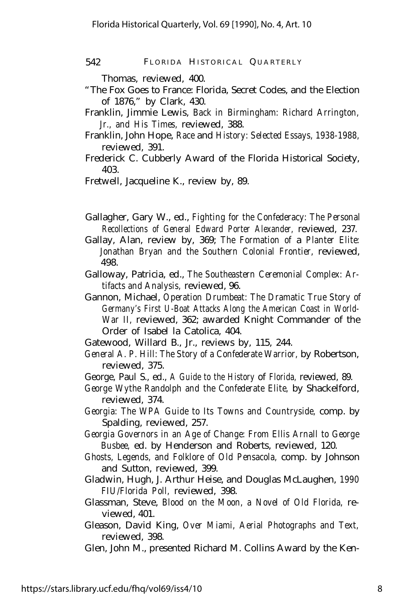Thomas, reviewed, 400.

- "The Fox Goes to France: Florida, Secret Codes, and the Election of 1876," by Clark, 430.
- Franklin, Jimmie Lewis, *Back in Birmingham: Richard Arrington, Jr., and His Times,* reviewed, 388.
- Franklin, John Hope, *Race* and *History: Selected Essays, 1938-1988,* reviewed, 391.
- Frederick C. Cubberly Award of the Florida Historical Society, 403.

Fretwell, Jacqueline K., review by, 89.

- Gallagher, Gary W., ed., *Fighting for the Confederacy: The Personal Recollections of General Edward Porter Alexander,* reviewed, 237.
- Gallay, Alan, review by, 369; *The Formation of* a *Planter Elite: Jonathan Bryan and the Southern Colonial Frontier,* reviewed, 498.
- Galloway, Patricia, ed., *The Southeastern Ceremonial Complex: Artifacts and Analysis,* reviewed, 96.
- Gannon, Michael, *Operation Drumbeat: The Dramatic True Story of Germany's First U-Boat Attacks Along the American Coast in World-War II,* reviewed, 362; awarded Knight Commander of the Order of Isabel la Catolica, 404.
- Gatewood, Willard B., Jr., reviews by, 115, 244.
- *General A. P. Hill: The Story of a Confederate Warrior,* by Robertson, reviewed, 375.
- George, Paul S., ed., *A Guide to the History* of *Florida,* reviewed, 89.
- *George Wythe Randolph and the Confederate Elite,* by Shackelford, reviewed, 374.
- *Georgia: The WPA Guide to Its Towns and Countryside,* comp. by Spalding, reviewed, 257.
- *Georgia Governors in an Age of Change: From Ellis Arnall to George Busbee,* ed. by Henderson and Roberts, reviewed, 120.
- *Ghosts, Legends, and Folklore of Old Pensacola,* comp. by Johnson and Sutton, reviewed, 399.
- Gladwin, Hugh, J. Arthur Heise, and Douglas McLaughen, *1990 FIU/Florida Poll,* reviewed, 398.
- Glassman, Steve, *Blood on the Moon, a Novel of Old Florida,* reviewed, 401.
- Gleason, David King, *Over Miami, Aerial Photographs and Text,* reviewed, 398.

Glen, John M., presented Richard M. Collins Award by the Ken-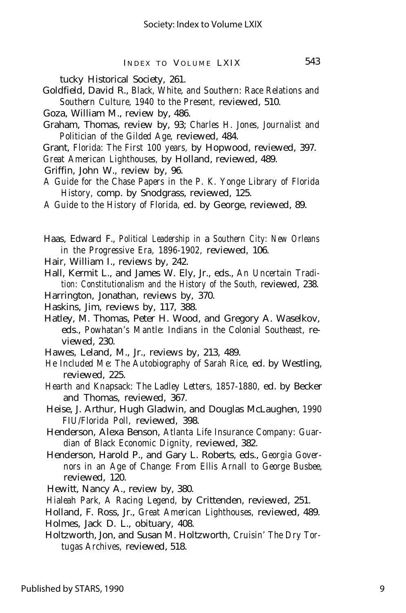tucky Historical Society, 261.

Goldfield, David R., *Black, White, and Southern: Race Relations and Southern Culture, 1940 to the Present,* reviewed, 510.

Goza, William M., review by, 486.

- Graham, Thomas, review by, 93; *Charles H. Jones, Journalist and Politician of the Gilded Age,* reviewed, 484.
- Grant, *Florida: The First 100 years,* by Hopwood, reviewed, 397.
- *Great American Lighthouses,* by Holland, reviewed, 489.
- Griffin, John W., review by, 96.
- *A Guide for the Chase Papers in the P. K. Yonge Library of Florida History,* comp. by Snodgrass, reviewed, 125.
- *A Guide to the History of Florida,* ed. by George, reviewed, 89.
- Haas, Edward F., *Political Leadership in* a *Southern City: New Orleans in the Progressive Era, 1896-1902,* reviewed, 106.
- Hair, William I., reviews by, 242.
- Hall, Kermit L., and James W. Ely, Jr., eds., *An Uncertain Tradition: Constitutionalism and the History of the South,* reviewed, 238.
- Harrington, Jonathan, reviews by, 370.
- Haskins, Jim, reviews by, 117, 388.
- Hatley, M. Thomas, Peter H. Wood, and Gregory A. Waselkov, eds., *Powhatan's Mantle: Indians in the Colonial Southeast,* reviewed, 230.
- Hawes, Leland, M., Jr., reviews by, 213, 489.
- *He Included Me: The Autobiography of Sarah Rice,* ed. by Westling, reviewed, 225.
- *Hearth and Knapsack: The Ladley Letters, 1857-1880,* ed. by Becker and Thomas, reviewed, 367.
- Heise, J. Arthur, Hugh Gladwin, and Douglas McLaughen, *1990 FIU/Florida Poll,* reviewed, 398.
- Henderson, Alexa Benson, *Atlanta Life Insurance Company: Guardian of Black Economic Dignity,* reviewed, 382.
- Henderson, Harold P., and Gary L. Roberts, eds., *Georgia Governors in an Age of Change: From Ellis Arnall to George Busbee,* reviewed, 120.
- Hewitt, Nancy A., review by, 380.

*Hialeah Park, A Racing Legend,* by Crittenden, reviewed, 251.

- Holland, F. Ross, Jr., *Great American Lighthouses,* reviewed, 489. Holmes, Jack D. L., obituary, 408.
- Holtzworth, Jon, and Susan M. Holtzworth, *Cruisin' The Dry Tortugas Archives,* reviewed, 518.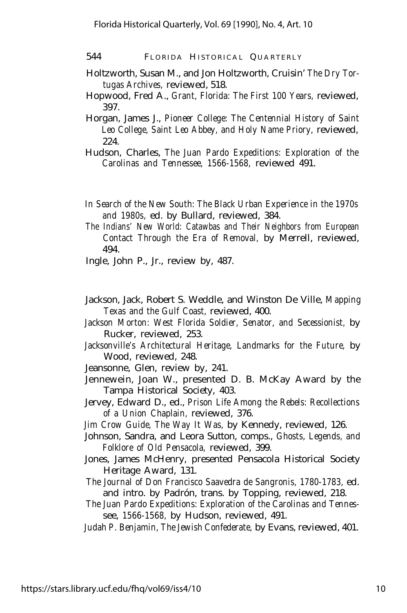- Holtzworth, Susan M., and Jon Holtzworth, Cruisin' *The Dry Tortugas Archives,* reviewed, 518.
- Hopwood, Fred A., *Grant, Florida: The First 100 Years,* reviewed, 397.
- Horgan, James J., *Pioneer College: The Centennial History of Saint Leo College, Saint Leo Abbey, and Holy Name Priory,* reviewed, 224.
- Hudson, Charles, *The Juan Pardo Expeditions: Exploration of the Carolinas and Tennessee, 1566-1568,* reviewed 491.
- *In Search of the New South: The Black Urban Experience in the 1970s and 1980s,* ed. by Bullard, reviewed, 384.
- *The Indians' New World: Catawbas and Their Neighbors from European Contact Through the Era of Removal,* by Merrell, reviewed, 494.
- Ingle, John P., Jr., review by, 487.
- Jackson, Jack, Robert S. Weddle, and Winston De Ville, *Mapping Texas and the Gulf Coast,* reviewed, 400.
- *Jackson Morton: West Florida Soldier, Senator, and Secessionist,* by Rucker, reviewed, 253.
- *Jacksonville's Architectural Heritage, Landmarks for the Future,* by Wood, reviewed, 248.
- Jeansonne, Glen, review by, 241.
- Jennewein, Joan W., presented D. B. McKay Award by the Tampa Historical Society, 403.
- Jervey, Edward D., ed., *Prison Life Among the Rebels: Recollections of a Union Chaplain,* reviewed, 376.
- *Jim Crow Guide, The Way It Was,* by Kennedy, reviewed, 126.
- Johnson, Sandra, and Leora Sutton, comps., *Ghosts, Legends, and Folklore of Old Pensacola,* reviewed, 399.
- Jones, James McHenry, presented Pensacola Historical Society Heritage Award, 131.
- *The Journal of Don Francisco Saavedra de Sangronis, 1780-1783,* ed. and intro. by Padrón, trans. by Topping, reviewed, 218.
- *The Juan Pardo Expeditions: Exploration of the Carolinas and Tennes*see, *1566-1568,* by Hudson, reviewed, 491.
- *Judah P. Benjamin, The Jewish Confederate,* by Evans, reviewed, 401.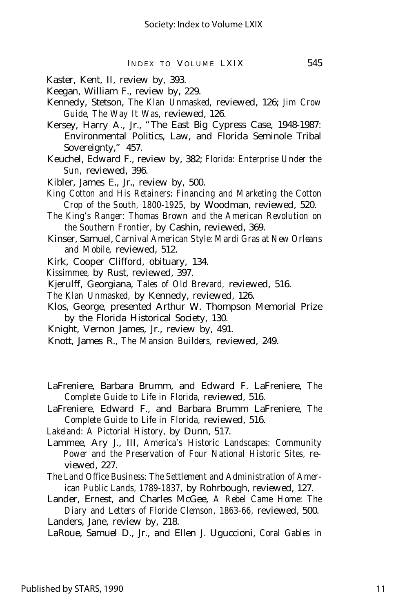Kaster, Kent, II, review by, 393.

- Keegan, William F., review by, 229.
- Kennedy, Stetson, *The Klan Unmasked,* reviewed, 126; *Jim Crow Guide, The Way It Was,* reviewed, 126.
- Kersey, Harry A., Jr., "The East Big Cypress Case, 1948-1987: Environmental Politics, Law, and Florida Seminole Tribal Sovereignty," 457.
- Keuchel, Edward F., review by, 382; *Florida: Enterprise Under the Sun,* reviewed, 396.
- Kibler, James E., Jr., review by, 500.
- *King Cotton and His Retainers: Financing and Marketing the Cotton Crop of the South, 1800-1925,* by Woodman, reviewed, 520.
- *The King's Ranger: Thomas Brown and the American Revolution on the Southern Frontier,* by Cashin, reviewed, 369.
- Kinser, Samuel, *Carnival American Style: Mardi Gras at New Orleans and Mobile,* reviewed, 512.
- Kirk, Cooper Clifford, obituary, 134.
- *Kissimmee,* by Rust, reviewed, 397.

Kjerulff, Georgiana, *Tales of Old Brevard,* reviewed, 516.

- *The Klan Unmasked,* by Kennedy, reviewed, 126.
- Klos, George, presented Arthur W. Thompson Memorial Prize by the Florida Historical Society, 130.
- Knight, Vernon James, Jr., review by, 491.
- Knott, James R., *The Mansion Builders,* reviewed, 249.
- LaFreniere, Barbara Brumm, and Edward F. LaFreniere, *The Complete Guide to Life in Florida,* reviewed, 516.
- LaFreniere, Edward F., and Barbara Brumm LaFreniere, *The Complete Guide to Life in Florida,* reviewed, 516.
- *Lakeland: A Pictorial History,* by Dunn, 517.
- Lammee, Ary J., III, *America's Historic Landscapes: Community Power and the Preservation of Four National Historic Sites,* reviewed, 227.
- *The Land Office Business: The Settlement and Administration of American Public Lands, 1789-1837,* by Rohrbough, reviewed, 127.
- Lander, Ernest, and Charles McGee, *A Rebel Came Home: The Diary and Letters of Floride Clemson, 1863-66,* reviewed, 500. Landers, Jane, review by, 218.

LaRoue, Samuel D., Jr., and Ellen J. Uguccioni, *Coral Gables in*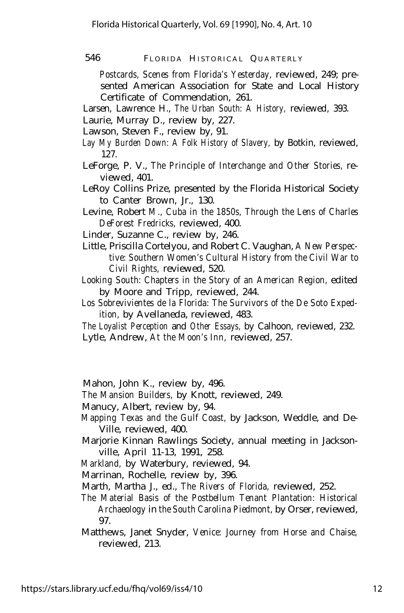*Postcards, Scenes from Florida's Yesterday,* reviewed, 249; presented American Association for State and Local History Certificate of Commendation, 261.

Larsen, Lawrence H., *The Urban South: A History,* reviewed, 393.

- Laurie, Murray D., review by, 227.
- Lawson, Steven F., review by, 91.
- *Lay My Burden Down: A Folk History of Slavery,* by Botkin, reviewed, 127.
- LeForge, P. V., *The Principle of Interchange and Other Stories,* reviewed, 401.
- LeRoy Collins Prize, presented by the Florida Historical Society to Canter Brown, Jr., 130.
- Levine, Robert *M., Cuba in the 1850s, Through the Lens of Charles DeForest Fredricks,* reviewed, 400.
- Linder, Suzanne C., review by, 246.
- Little, Priscilla Cortelyou, and Robert C. Vaughan, *A New Perspective: Southern Women's Cultural History from the Civil War to Civil Rights,* reviewed, 520.
- *Looking South: Chapters in the Story of an American Region,* edited by Moore and Tripp, reviewed, 244.
- *Los Sobrevivientes de la Florida: The Survivors of the De Soto Expedition,* by Avellaneda, reviewed, 483.
- *The Loyalist Perception* and *Other Essays,* by Calhoon, reviewed, 232. Lytle, Andrew, *At the Moon's Inn,* reviewed, 257.

Mahon, John K., review by, 496.

*The Mansion Builders,* by Knott, reviewed, 249.

Manucy, Albert, review by, 94.

- *Mapping Texas and the Gulf Coast,* by Jackson, Weddle, and De-Ville, reviewed, 400.
- Marjorie Kinnan Rawlings Society, annual meeting in Jacksonville, April 11-13, 1991, 258.

*Markland,* by Waterbury, reviewed, 94.

Marrinan, Rochelle, review by, 396.

Marth, Martha J., ed., *The Rivers of Florida,* reviewed, 252.

- *The Material Basis of the Postbellum Tenant Plantation: Historical Archaeology* in *the South Carolina Piedmont,* by Orser, reviewed, 97.
- Matthews, Janet Snyder, *Venice: Journey from Horse and Chaise,* reviewed, 213.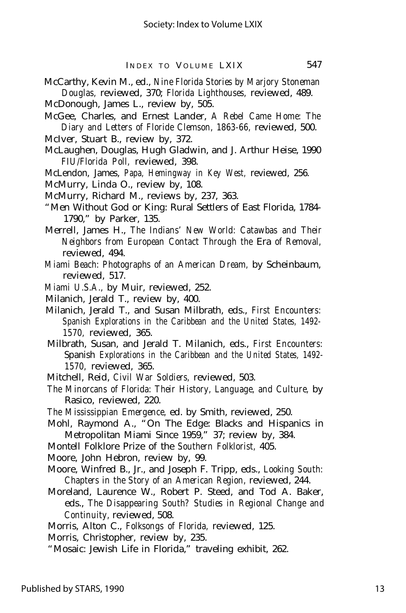- McCarthy, Kevin M., ed., *Nine Florida Stories by Marjory Stoneman Douglas,* reviewed, 370; *Florida Lighthouses,* reviewed, 489.
- McDonough, James L., review by, 505.
- McGee, Charles, and Ernest Lander, *A Rebel Came Home: The Diary and Letters of Floride Clemson, 1863-66,* reviewed, 500.
- McIver, Stuart B., review by, 372.
- McLaughen, Douglas, Hugh Gladwin, and J. Arthur Heise, 1990 *FIU/Florida Poll,* reviewed, 398.
- McLendon, James, *Papa, Hemingway in Key West,* reviewed, 256.
- McMurry, Linda O., review by, 108.
- McMurry, Richard M., reviews by, 237, 363.
- "Men Without God or King: Rural Settlers of East Florida, 1784- 1790," by Parker, 135.
- Merrell, James H., *The Indians' New World: Catawbas and Their Neighbors from European Contact Through the* Era *of Removal,* reviewed, 494.
- *Miami Beach: Photographs of an American Dream,* by Scheinbaum, reviewed, 517.
- *Miami U.S.A.,* by Muir, reviewed, 252.
- Milanich, Jerald T., review by, 400.
- Milanich, Jerald T., and Susan Milbrath, eds., *First Encounters: Spanish Explorations in the Caribbean and the United States, 1492- 1570,* reviewed, 365.
- Milbrath, Susan, and Jerald T. Milanich, eds., *First Encounters:* Spanish *Explorations in the Caribbean and the United States, 1492- 1570,* reviewed, 365.
- Mitchell, Reid, *Civil War Soldiers,* reviewed, 503.
- *The Minorcans of Florida: Their History, Language, and Culture,* by Rasico, reviewed, 220.
- *The Mississippian Emergence,* ed. by Smith, reviewed, 250.
- Mohl, Raymond A., "On The Edge: Blacks and Hispanics in Metropolitan Miami Since 1959," 37; review by, 384.
- Montell Folklore Prize of the *Southern Folklorist,* 405.

Moore, John Hebron, review by, 99.

- Moore, Winfred B., Jr., and Joseph F. Tripp, eds., *Looking South: Chapters in the Story of an American Region,* reviewed, 244.
- Moreland, Laurence W., Robert P. Steed, and Tod A. Baker, eds., *The Disappearing South? Studies in Regional Change and Continuity,* reviewed, 508.
- Morris, Alton C., *Folksongs of Florida,* reviewed, 125.
- Morris, Christopher, review by, 235.
- "Mosaic: Jewish Life in Florida," traveling exhibit, 262.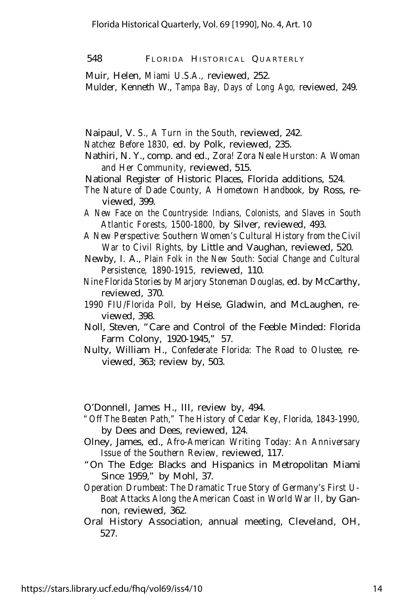Muir, Helen, *Miami U.S.A.,* reviewed, 252.

Mulder, Kenneth W., *Tampa Bay, Days of Long Ago,* reviewed, 249.

- Naipaul, V. *S., A Turn in the South,* reviewed, 242.
- *Natchez Before 1830,* ed. by Polk, reviewed, 235.
- Nathiri, N. Y., comp. and ed., *Zora! Zora Neale Hurston: A Woman and Her Community,* reviewed, 515.
- National Register of Historic Places, Florida additions, 524.
- *The Nature of Dade County, A Hometown Handbook,* by Ross, reviewed, 399.
- *A New Face on the Countryside: Indians, Colonists, and Slaves in South Atlantic Forests, 1500-1800,* by Silver, reviewed, 493.
- *A New Perspective: Southern Women's Cultural History from the Civil War to Civil Rights,* by Little and Vaughan, reviewed, 520.
- Newby, I. A., *Plain Folk in the New South: Social Change and Cultural Persistence, 1890-1915,* reviewed, 110.
- *Nine Florida Stories by Marjory Stoneman Douglas,* ed. by McCarthy, reviewed, 370.
- *1990 FIU/Florida Poll,* by Heise, Gladwin, and McLaughen, reviewed, 398.
- Noll, Steven, "Care and Control of the Feeble Minded: Florida Farm Colony, 1920-1945," 57.
- Nulty, William H., *Confederate Florida: The Road to Olustee,* reviewed, 363; review by, 503.

O'Donnell, James H., III, review by, 494.

- *"Off The Beaten Path," The History of Cedar Key, Florida, 1843-1990,* by Dees and Dees, reviewed, 124.
- Olney, James, ed., *Afro-American Writing Today: An Anniversary Issue of the Southern Review,* reviewed, 117.
- "On The Edge: Blacks and Hispanics in Metropolitan Miami Since 1959," by Mohl, 37.
- *Operation Drumbeat: The Dramatic True Story of Germany's First U-Boat Attacks Along the American Coast in World War II,* by Gannon, reviewed, 362.
- Oral History Association, annual meeting, Cleveland, OH, 527.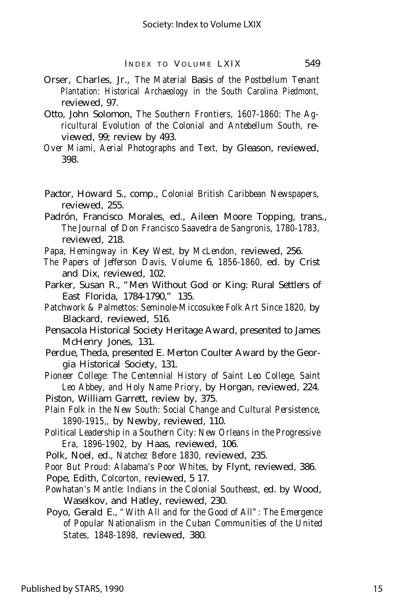- Orser, Charles, Jr., *The Material* Basis *of the Postbellum Tenant Plantation: Historical Archaeology in the South Carolina Piedmont,* reviewed, 97.
- Otto, John Solomon, *The Southern Frontiers, 1607-1860: The Agricultural Evolution of the Colonial and Antebellum South,* reviewed, 99; review by 493.
- *Over Miami, Aerial Photographs and Text,* by Gleason, reviewed, 398.
- Pactor, Howard S., comp., *Colonial British Caribbean Newspapers,* reviewed, 255.
- Padrón, Francisco Morales, ed., Aileen Moore Topping, trans., *The Journal* of *Don Francisco Saavedra de Sangronis, 1780-1783,* reviewed, 218.
- *Papa, Hemingway in* Key *West,* by *McLendon,* reviewed, 256.
- *The Papers of Jefferson Davis, Volume* 6, *1856-1860,* ed. by Crist and Dix, reviewed, 102.
- Parker, Susan R., "Men Without God or King: Rural Settlers of East Florida, 1784-1790," 135.
- *Patchwork & Palmettos: Seminole-Miccosukee Folk Art Since 1820,* by Blackard, reviewed, 516.
- Pensacola Historical Society Heritage Award, presented to James McHenry Jones, 131.
- Perdue, Theda, presented E. Merton Coulter Award by the Georgia Historical Society, 131.
- *Pioneer College: The Centennial History of Saint Leo College, Saint Leo Abbey, and Holy Name Priory,* by Horgan, reviewed, 224.
- Piston, William Garrett, review by, 375.
- *Plain Folk in the New South: Social Change and Cultural Persistence, 1890-1915,,* by Newby, reviewed, 110.
- *Political Leadership in a Southern City: New Orleans in the Progressive Era, 1896-1902,* by Haas, reviewed, 106.
- Polk, Noel, ed., *Natchez Before 1830,* reviewed, 235.
- *Poor But Proud: Alabama's Poor Whites,* by Flynt, reviewed, 386.
- Pope, Edith, *Colcorton,* reviewed, 5 17.
- *Powhatan's Mantle: Indians in the Colonial Southeast,* ed. by Wood, Waselkov, and Hatley, reviewed, 230.
- Poyo, Gerald E., *"With All and for the Good of All": The Emergence of Popular Nationalism in the Cuban Communities of the United States, 1848-1898,* reviewed, 380.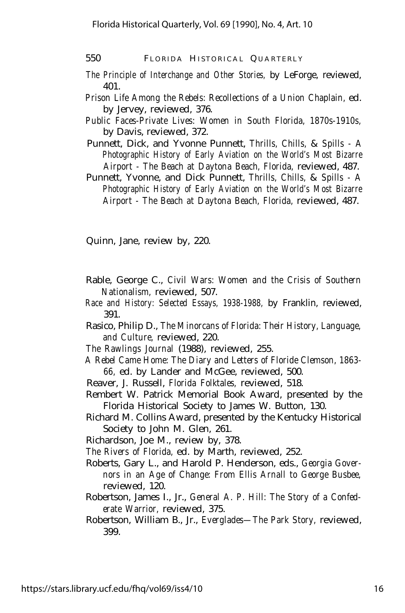- *The Principle of Interchange and Other Stories,* by LeForge, reviewed, 401.
- *Prison Life Among the Rebels: Recollections of a Union Chaplain,* ed. by Jervey, reviewed, 376.
- *Public Faces-Private Lives: Women in South Florida, 1870s-1910s,* by Davis, reviewed, 372.
- Punnett, Dick, and Yvonne Punnett, *Thrills, Chills,* & *Spills A Photographic History of Early Aviation on the World's Most Bizarre Airport - The Beach at Daytona Beach, Florida,* reviewed, 487.
- Punnett, Yvonne, and Dick Punnett, *Thrills, Chills,* & *Spills A Photographic History of Early Aviation on the World's Most Bizarre Airport - The Beach at Daytona Beach, Florida,* reviewed, 487.

Quinn, Jane, review by, 220.

- Rable, George C., *Civil Wars: Women and the Crisis of Southern Nationalism,* reviewed, 507.
- *Race and History: Selected Essays, 1938-1988,* by Franklin, reviewed, 391.
- Rasico, Philip D., *The Minorcans of Florida: Their History, Language, and Culture,* reviewed, 220.
- *The Rawlings Journal* (1988), reviewed, 255.
- *A Rebel Came Home: The Diary and Letters of Floride Clemson, 1863- 66,* ed. by Lander and McGee, reviewed, 500.

Reaver, J. Russell, *Florida Folktales,* reviewed, 518.

- Rembert W. Patrick Memorial Book Award, presented by the Florida Historical Society to James W. Button, 130.
- Richard M. Collins Award, presented by the Kentucky Historical Society to John M. Glen, 261.
- Richardson, Joe M., review by, 378.
- *The Rivers of Florida,* ed. by Marth, reviewed, 252.
- Roberts, Gary L., and Harold P. Henderson, eds., *Georgia Governors in an Age of Change: From Ellis Arnall to George Busbee,* reviewed, 120.
- Robertson, James I., Jr., *General A. P. Hill: The Story of a Confederate Warrior,* reviewed, 375.
- Robertson, William B., Jr., *Everglades— The Park Story,* reviewed, 399.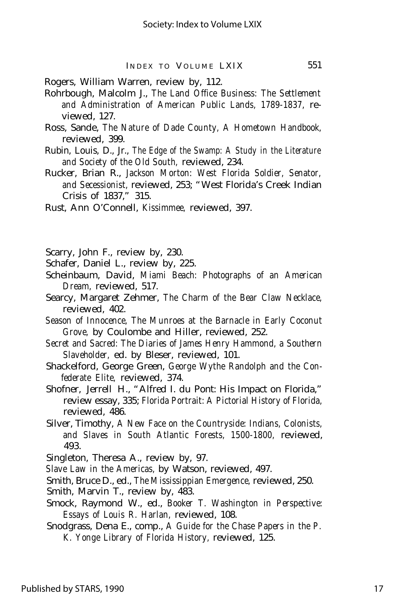Rogers, William Warren, review by, 112.

- Rohrbough, Malcolm J., *The Land Office Business: The Settlement and Administration of American Public Lands, 1789-1837,* reviewed, 127.
- Ross, Sande, *The Nature of Dade County, A Hometown Handbook,* reviewed, 399.
- Rubin, Louis, D., Jr., *The Edge of the Swamp: A Study in the Literature and Society of the Old South,* reviewed, 234.
- Rucker, Brian R., *Jackson Morton: West Florida Soldier, Senator, and Secessionist,* reviewed, 253; "West Florida's Creek Indian Crisis of 1837," 315.
- Rust, Ann O'Connell, *Kissimmee,* reviewed, 397.

Scarry, John F., review by, 230.

- Schafer, Daniel L., review by, 225.
- Scheinbaum, David, *Miami Beach: Photographs of an American Dream,* reviewed, 517.
- Searcy, Margaret Zehmer, *The Charm of the Bear Claw Necklace,* reviewed, 402.
- *Season of Innocence, The Munroes at the Barnacle in Early Coconut Grove,* by Coulombe and Hiller, reviewed, 252.
- *Secret and Sacred: The Diaries of James Henry Hammond, a Southern Slaveholder,* ed. by Bleser, reviewed, 101.
- Shackelford, George Green, *George Wythe Randolph and the Confederate Elite,* reviewed, 374.
- Shofner, Jerrell H., "Alfred I. du Pont: His Impact on Florida," review essay, 335; *Florida Portrait: A Pictorial History of Florida,* reviewed, 486.
- Silver, Timothy, *A New Face on the Countryside: Indians, Colonists, and Slaves in South Atlantic Forests, 1500-1800,* reviewed, 493.

Singleton, Theresa A., review by, 97.

*Slave Law in the Americas,* by Watson, reviewed, 497.

- Smith, Bruce D., ed., *The Mississippian Emergence,* reviewed, 250.
- Smith, Marvin T., review by, 483.
- Smock, Raymond W., ed., *Booker T. Washington in Perspective: Essays of Louis R. Harlan,* reviewed, 108.
- Snodgrass, Dena E., comp., *A Guide for the Chase Papers in the P. K. Yonge Library of Florida History,* reviewed, 125.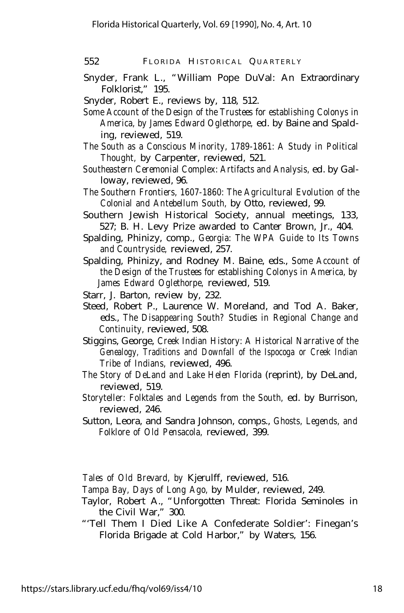- Snyder, Frank L., "William Pope DuVal: An Extraordinary Folklorist," 195.
- Snyder, Robert E., reviews by, 118, 512.
- *Some Account of the Design of the Trustees for establishing Colonys in America, by James Edward Oglethorpe,* ed. by Baine and Spalding, reviewed, 519.
- *The South as a Conscious Minority, 1789-1861: A Study in Political Thought,* by Carpenter, reviewed, 521.
- *Southeastern Ceremonial Complex: Artifacts and Analysis,* ed. by Galloway, reviewed, 96.
- *The Southern Frontiers, 1607-1860: The Agricultural Evolution of the Colonial and Antebellum South,* by Otto, reviewed, 99.
- Southern Jewish Historical Society, annual meetings, 133, 527; B. H. Levy Prize awarded to Canter Brown, Jr., 404.
- Spalding, Phinizy, comp., *Georgia: The WPA Guide to Its Towns and Countryside,* reviewed, 257.
- Spalding, Phinizy, and Rodney M. Baine, eds., *Some Account of the Design of the Trustees for establishing Colonys in America, by James Edward Oglethorpe,* reviewed, 519.
- Starr, J. Barton, review by, 232.
- Steed, Robert P., Laurence W. Moreland, and Tod A. Baker, eds., *The Disappearing South? Studies in Regional Change and Continuity,* reviewed, 508.
- Stiggins, George, *Creek Indian History: A Historical Narrative of the Genealogy, Traditions and Downfall of the Ispocoga or Creek Indian Tribe of Indians,* reviewed, 496.
- *The Story of DeLand and Lake Helen Florida* (reprint), by DeLand, reviewed, 519.
- *Storyteller: Folktales and Legends from the South,* ed. by Burrison, reviewed, 246.
- Sutton, Leora, and Sandra Johnson, comps., *Ghosts, Legends, and Folklore of Old Pensacola,* reviewed, 399.

*Tales of Old Brevard, by* Kjerulff, reviewed, 516.

*Tampa Bay, Days of Long Ago,* by Mulder, reviewed, 249.

- Taylor, Robert A., "Unforgotten Threat: Florida Seminoles in the Civil War," 300.
- "'Tell Them I Died Like A Confederate Soldier': Finegan's Florida Brigade at Cold Harbor," by Waters, 156.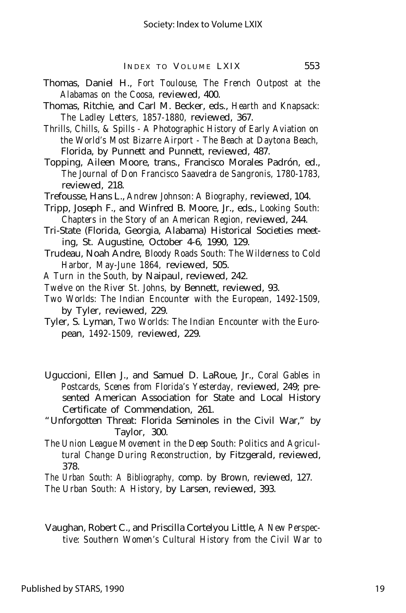- Thomas, Daniel H., *Fort Toulouse, The French Outpost at the Alabamas on the Coosa,* reviewed, 400.
- Thomas, Ritchie, and Carl M. Becker, eds., *Hearth and Knapsack: The Ladley Letters, 1857-1880,* reviewed, 367.
- *Thrills, Chills, & Spills A Photographic History of Early Aviation on the World's Most Bizarre Airport - The Beach at Daytona Beach,* Florida, by Punnett and Punnett, reviewed, 487.
- Topping, Aileen Moore, trans., Francisco Morales Padrón, ed., *The Journal of Don Francisco Saavedra de Sangronis, 1780-1783,* reviewed, 218.
- Trefousse, Hans L., *Andrew Johnson: A Biography,* reviewed, 104.
- Tripp, Joseph F., and Winfred B. Moore, Jr., eds., *Looking South: Chapters in the Story of an American Region,* reviewed, 244.
- Tri-State (Florida, Georgia, Alabama) Historical Societies meeting, St. Augustine, October 4-6, 1990, 129.
- Trudeau, Noah Andre, *Bloody Roads South: The Wilderness to Cold Harbor, May-June 1864,* reviewed, 505.
- *A Turn in the South,* by Naipaul, reviewed, 242.
- *Twelve on the River St. Johns,* by Bennett, reviewed, 93.
- *Two Worlds: The Indian Encounter with the European, 1492-1509,* by Tyler, reviewed, 229.
- Tyler, S. Lyman, *Two Worlds: The Indian Encounter with the Euro*pean, *1492-1509,* reviewed, 229.
- Uguccioni, Ellen J., and Samuel D. LaRoue, Jr., *Coral Gables in Postcards, Scenes from Florida's Yesterday,* reviewed, 249; presented American Association for State and Local History Certificate of Commendation, 261.
- "Unforgotten Threat: Florida Seminoles in the Civil War," by Taylor, 300.
- *The Union League Movement in the Deep South: Politics and Agricultural Change During Reconstruction,* by Fitzgerald, reviewed, 378.

*The Urban South: A Bibliography,* comp. by Brown, reviewed, 127.

*The Urban South: A History,* by Larsen, reviewed, 393.

Vaughan, Robert C., and Priscilla Cortelyou Little, *A New Perspective: Southern Women's Cultural History from the Civil War to*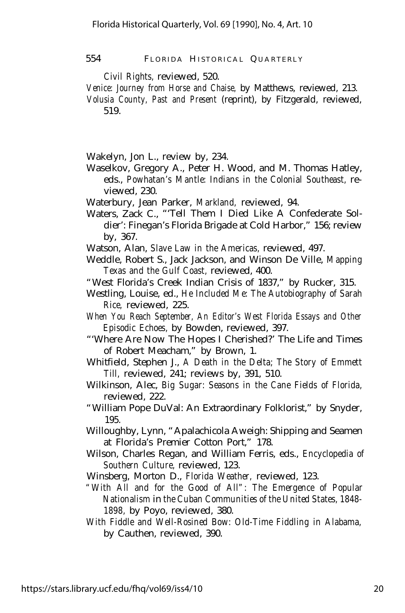*Civil Rights,* reviewed, 520.

*Venice: Journey from Horse and Chaise,* by Matthews, reviewed, 213.

*Volusia County, Past and Present* (reprint), by Fitzgerald, reviewed, 519.

Wakelyn, Jon L., review by, 234.

- Waselkov, Gregory A., Peter H. Wood, and M. Thomas Hatley, eds., *Powhatan's Mantle: Indians in the Colonial Southeast,* reviewed, 230.
- Waterbury, Jean Parker, *Markland,* reviewed, 94.
- Waters, Zack C., "'Tell Them I Died Like A Confederate Soldier': Finegan's Florida Brigade at Cold Harbor," 156; review by, 367.
- Watson, Alan, *Slave Law in the Americas,* reviewed, 497.
- Weddle, Robert S., Jack Jackson, and Winson De Ville, *Mapping Texas and the Gulf Coast,* reviewed, 400.
- "West Florida's Creek Indian Crisis of 1837," by Rucker, 315.
- Westling, Louise, ed., *He Included Me: The Autobiography of Sarah Rice,* reviewed, 225.
- *When You Reach September, An Editor's West Florida Essays and Other Episodic Echoes,* by Bowden, reviewed, 397.
- "'Where Are Now The Hopes I Cherished?' The Life and Times of Robert Meacham," by Brown, 1.
- Whitfield, Stephen J., *A Death in the Delta; The Story of Emmett Till,* reviewed, 241; reviews by, 391, 510.
- Wilkinson, Alec, *Big Sugar: Seasons in the Cane Fields of Florida,* reviewed, 222.
- "William Pope DuVal: An Extraordinary Folklorist," by Snyder, 195.
- Willoughby, Lynn, "Apalachicola Aweigh: Shipping and Seamen at Florida's Premier Cotton Port," 178.
- Wilson, Charles Regan, and William Ferris, eds., *Encyclopedia of Southern Culture,* reviewed, 123.
- Winsberg, Morton D., *Florida Weather,* reviewed, 123.
- *"With All and for the Good of All": The Emergence of Popular Nationalism* in *the Cuban Communities of the United States, 1848- 1898,* by Poyo, reviewed, 380.
- *With Fiddle and Well-Rosined Bow: Old-Time Fiddling in Alabama,* by Cauthen, reviewed, 390.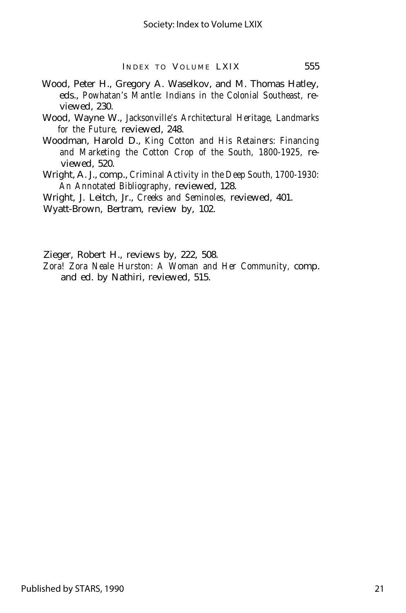#### INDEX TO VOLUME LXIX 555

- Wood, Peter H., Gregory A. Waselkov, and M. Thomas Hatley, eds., *Powhatan's Mantle: Indians in the Colonial Southeast,* reviewed, 230.
- Wood, Wayne W., *Jacksonville's Architectural Heritage, Landmarks for the Future,* reviewed, 248.
- Woodman, Harold D., *King Cotton and His Retainers: Financing and Marketing the Cotton Crop of the South, 1800-1925,* reviewed, 520.
- Wright, A. J., comp., *Criminal Activity in the Deep South, 1700-1930: An Annotated Bibliography,* reviewed, 128.

Wright, J. Leitch, Jr., *Creeks and Seminoles,* reviewed, 401.

Wyatt-Brown, Bertram, review by, 102.

Zieger, Robert H., reviews by, 222, 508.

*Zora! Zora Neale Hurston: A Woman and Her Community,* comp. and ed. by Nathiri, reviewed, 515.